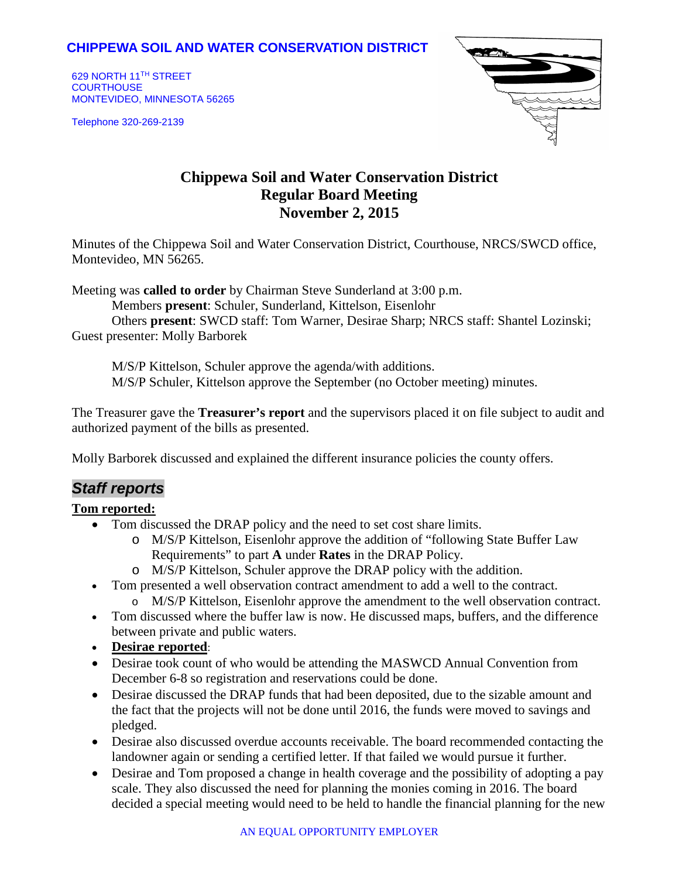### **CHIPPEWA SOIL AND WATER CONSERVATION DISTRICT**

629 NORTH 11TH STREET **COURTHOUSE** MONTEVIDEO, MINNESOTA 56265

Telephone 320-269-2139



# **Chippewa Soil and Water Conservation District Regular Board Meeting November 2, 2015**

Minutes of the Chippewa Soil and Water Conservation District, Courthouse, NRCS/SWCD office, Montevideo, MN 56265.

Meeting was **called to order** by Chairman Steve Sunderland at 3:00 p.m.

Members **present**: Schuler, Sunderland, Kittelson, Eisenlohr

Others **present**: SWCD staff: Tom Warner, Desirae Sharp; NRCS staff: Shantel Lozinski; Guest presenter: Molly Barborek

M/S/P Kittelson, Schuler approve the agenda/with additions. M/S/P Schuler, Kittelson approve the September (no October meeting) minutes.

The Treasurer gave the **Treasurer's report** and the supervisors placed it on file subject to audit and authorized payment of the bills as presented.

Molly Barborek discussed and explained the different insurance policies the county offers.

## *Staff reports*

### **Tom reported:**

- Tom discussed the DRAP policy and the need to set cost share limits.
	- o M/S/P Kittelson, Eisenlohr approve the addition of "following State Buffer Law Requirements" to part **A** under **Rates** in the DRAP Policy.
	- o M/S/P Kittelson, Schuler approve the DRAP policy with the addition.
- Tom presented a well observation contract amendment to add a well to the contract. o M/S/P Kittelson, Eisenlohr approve the amendment to the well observation contract.
- Tom discussed where the buffer law is now. He discussed maps, buffers, and the difference between private and public waters.
- **Desirae reported**:
- Desirae took count of who would be attending the MASWCD Annual Convention from December 6-8 so registration and reservations could be done.
- Desirae discussed the DRAP funds that had been deposited, due to the sizable amount and the fact that the projects will not be done until 2016, the funds were moved to savings and pledged.
- Desirae also discussed overdue accounts receivable. The board recommended contacting the landowner again or sending a certified letter. If that failed we would pursue it further.
- Desirae and Tom proposed a change in health coverage and the possibility of adopting a pay scale. They also discussed the need for planning the monies coming in 2016. The board decided a special meeting would need to be held to handle the financial planning for the new